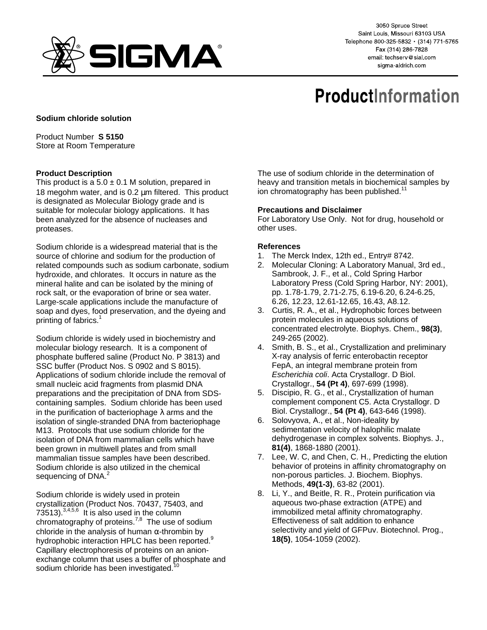

3050 Spruce Street Saint Louis, Missouri 63103 USA Telephone 800-325-5832 · (314) 771-5765 Fax (314) 286-7828 email: techserv@sial.com sigma-aldrich.com

# **ProductInformation**

## **Sodium chloride solution**

Product Number **S 5150** Store at Room Temperature

## **Product Description**

This product is a  $5.0 \pm 0.1$  M solution, prepared in 18 megohm water, and is 0.2  $\mu$ m filtered. This product is designated as Molecular Biology grade and is suitable for molecular biology applications. It has been analyzed for the absence of nucleases and proteases.

Sodium chloride is a widespread material that is the source of chlorine and sodium for the production of related compounds such as sodium carbonate, sodium hydroxide, and chlorates. It occurs in nature as the mineral halite and can be isolated by the mining of rock salt, or the evaporation of brine or sea water. Large-scale applications include the manufacture of soap and dyes, food preservation, and the dyeing and printing of fabrics.<sup>1</sup>

Sodium chloride is widely used in biochemistry and molecular biology research. It is a component of phosphate buffered saline (Product No. P 3813) and SSC buffer (Product Nos. S 0902 and S 8015). Applications of sodium chloride include the removal of small nucleic acid fragments from plasmid DNA preparations and the precipitation of DNA from SDScontaining samples. Sodium chloride has been used in the purification of bacteriophage  $\lambda$  arms and the isolation of single-stranded DNA from bacteriophage M13. Protocols that use sodium chloride for the isolation of DNA from mammalian cells which have been grown in multiwell plates and from small mammalian tissue samples have been described. Sodium chloride is also utilized in the chemical sequencing of DNA.<sup>2</sup>

Sodium chloride is widely used in protein crystallization (Product Nos. 70437, 75403, and 73513). $3,4,5,6$  It is also used in the column chromatography of proteins.<sup>7,8</sup> The use of sodium chloride in the analysis of human  $\alpha$ -thrombin by hydrophobic interaction HPLC has been reported.<sup>9</sup> Capillary electrophoresis of proteins on an anionexchange column that uses a buffer of phosphate and sodium chloride has been investigated.<sup>10</sup>

The use of sodium chloride in the determination of heavy and transition metals in biochemical samples by ion chromatography has been published.<sup>11</sup>

### **Precautions and Disclaimer**

For Laboratory Use Only. Not for drug, household or other uses.

### **References**

- 1. The Merck Index, 12th ed., Entry# 8742.
- 2. Molecular Cloning: A Laboratory Manual, 3rd ed., Sambrook, J. F., et al., Cold Spring Harbor Laboratory Press (Cold Spring Harbor, NY: 2001), pp. 1.78-1.79, 2.71-2.75, 6.19-6.20, 6.24-6.25, 6.26, 12.23, 12.61-12.65, 16.43, A8.12.
- 3. Curtis, R. A., et al., Hydrophobic forces between protein molecules in aqueous solutions of concentrated electrolyte. Biophys. Chem., **98(3)**, 249-265 (2002).
- 4. Smith, B. S., et al., Crystallization and preliminary X-ray analysis of ferric enterobactin receptor FepA, an integral membrane protein from Escherichia coli. Acta Crystallogr. D Biol. Crystallogr., **54 (Pt 4)**, 697-699 (1998).
- 5. Discipio, R. G., et al., Crystallization of human complement component C5. Acta Crystallogr. D Biol. Crystallogr., **54 (Pt 4)**, 643-646 (1998).
- 6. Solovyova, A., et al., Non-ideality by sedimentation velocity of halophilic malate dehydrogenase in complex solvents. Biophys. J., **81(4)**, 1868-1880 (2001).
- 7. Lee, W. C, and Chen, C. H., Predicting the elution behavior of proteins in affinity chromatography on non-porous particles. J. Biochem. Biophys. Methods, **49(1-3)**, 63-82 (2001).
- 8. Li, Y., and Beitle, R. R., Protein purification via aqueous two-phase extraction (ATPE) and immobilized metal affinity chromatography. Effectiveness of salt addition to enhance selectivity and yield of GFPuv. Biotechnol. Prog., **18(5)**, 1054-1059 (2002).